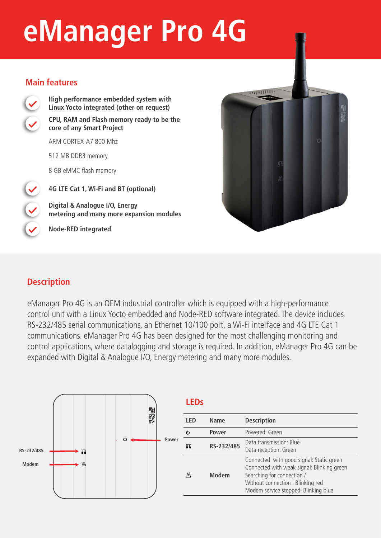# **eManager Pro 4G**

#### **Main features**



**High performance embedded system with Linux Yocto integrated (other on request) CPU, RAM and Flash memory ready to be the** 

**core of any Smart Project** 

ARM CORTEX-A7 800 Mhz

512 MB DDR3 memory

8 GB eMMC flash memory

**4G LTE Cat 1, Wi-Fi and BT (optional)**

**Digital & Analogue I/O, Energy metering and many more expansion modules**

**Node-RED integrated**



## **Description**

eManager Pro 4G is an OEM industrial controller which is equipped with a high-performance control unit with a Linux Yocto embedded and Node-RED software integrated. The device includes RS-232/485 serial communications, an Ethernet 10/100 port, a Wi-Fi interface and 4G LTE Cat 1 communications. eManager Pro 4G has been designed for the most challenging monitoring and control applications, where datalogging and storage is required. In addition, eManager Pro 4G can be expanded with Digital & Analogue I/O, Energy metering and many more modules.



## **LEDs**

| I FD            | Name         | <b>Description</b>                                                                                                                                                                                |  |
|-----------------|--------------|---------------------------------------------------------------------------------------------------------------------------------------------------------------------------------------------------|--|
| $\mathcal{C}^1$ | Power        | Powered: Green                                                                                                                                                                                    |  |
| ш               | RS-232/485   | Data transmission: Blue<br>Data reception: Green                                                                                                                                                  |  |
| <u>(4)</u>      | <b>Modem</b> | Connected with good signal: Static green<br>Connected with weak signal: Blinking green<br>Searching for connection /<br>Without connection : Blinking red<br>Modem service stopped: Blinking blue |  |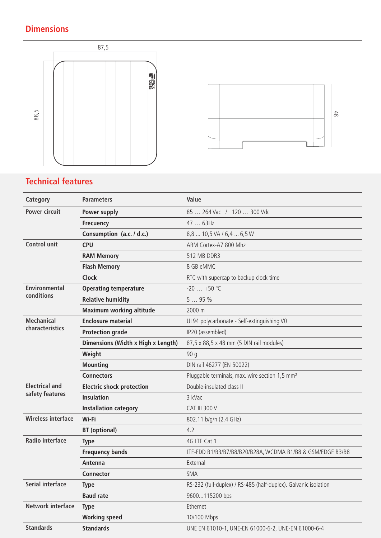# **Dimensions**





## **Technical features**

| Category                  | <b>Parameters</b>                  | Value                                                           |
|---------------------------|------------------------------------|-----------------------------------------------------------------|
| <b>Power circuit</b>      | Power supply                       | 85  264 Vac / 120  300 Vdc                                      |
|                           | <b>Frecuency</b>                   | 47  63Hz                                                        |
|                           | Consumption (a.c. / d.c.)          | 8,8  10,5 VA / 6,4  6,5 W                                       |
| <b>Control unit</b>       | <b>CPU</b>                         | ARM Cortex-A7 800 Mhz                                           |
|                           | <b>RAM Memory</b>                  | 512 MB DDR3                                                     |
|                           | <b>Flash Memory</b>                | 8 GB eMMC                                                       |
|                           | <b>Clock</b>                       | RTC with supercap to backup clock time                          |
| <b>Environmental</b>      | <b>Operating temperature</b>       | $-20$ $+50$ °C                                                  |
| conditions                | <b>Relative humidity</b>           | 595%                                                            |
|                           | <b>Maximum working altitude</b>    | 2000 m                                                          |
| <b>Mechanical</b>         | <b>Enclosure material</b>          | UL94 polycarbonate - Self-extinguishing V0                      |
| characteristics           | <b>Protection grade</b>            | IP20 (assembled)                                                |
|                           | Dimensions (Width x High x Length) | 87,5 x 88,5 x 48 mm (5 DIN rail modules)                        |
|                           | Weight                             | 90q                                                             |
|                           | <b>Mounting</b>                    | DIN rail 46277 (EN 50022)                                       |
|                           | <b>Connectors</b>                  | Pluggable terminals, max. wire section 1,5 mm <sup>2</sup>      |
| <b>Electrical and</b>     | <b>Electric shock protection</b>   | Double-insulated class II                                       |
| safety features           | <b>Insulation</b>                  | 3 kVac                                                          |
|                           | <b>Installation category</b>       | <b>CAT III 300 V</b>                                            |
| <b>Wireless interface</b> | Wi-Fi                              | 802.11 b/g/n (2.4 GHz)                                          |
|                           | <b>BT</b> (optional)               | 4.2                                                             |
| <b>Radio interface</b>    | <b>Type</b>                        | 4G LTE Cat 1                                                    |
|                           | <b>Frequency bands</b>             | LTE-FDD B1/B3/B7/B8/B20/B28A, WCDMA B1/B8 & GSM/EDGE B3/B8      |
|                           | Antenna                            | External                                                        |
|                           | Connector                          | <b>SMA</b>                                                      |
| <b>Serial interface</b>   | <b>Type</b>                        | RS-232 (full-duplex) / RS-485 (half-duplex). Galvanic isolation |
|                           | <b>Baud rate</b>                   | 9600115200 bps                                                  |
| Network interface         | <b>Type</b>                        | Ethernet                                                        |
|                           | <b>Working speed</b>               | 10/100 Mbps                                                     |
| <b>Standards</b>          | <b>Standards</b>                   | UNE EN 61010-1, UNE-EN 61000-6-2, UNE-EN 61000-6-4              |
|                           |                                    |                                                                 |